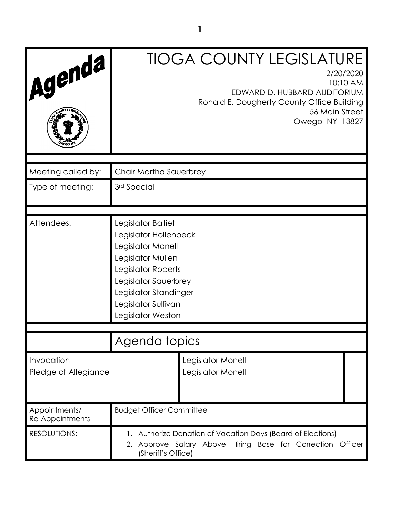| Agenda                             | <b>TIOGA COUNTY LEGISLATURE</b><br>2/20/2020<br>10:10 AM<br>EDWARD D. HUBBARD AUDITORIUM<br>Ronald E. Dougherty County Office Building<br>56 Main Street<br>Owego NY 13827                               |
|------------------------------------|----------------------------------------------------------------------------------------------------------------------------------------------------------------------------------------------------------|
| Meeting called by:                 | Chair Martha Sauerbrey                                                                                                                                                                                   |
| Type of meeting:                   | 3rd Special                                                                                                                                                                                              |
| Attendees:                         | Legislator Balliet<br>Legislator Hollenbeck<br>Legislator Monell<br>Legislator Mullen<br>Legislator Roberts<br>Legislator Sauerbrey<br>Legislator Standinger<br>Legislator Sullivan<br>Legislator Weston |
|                                    | Agenda topics                                                                                                                                                                                            |
| Invocation<br>Pledge of Allegiance | Legislator Monell<br>Legislator Monell                                                                                                                                                                   |
| Appointments/<br>Re-Appointments   | <b>Budget Officer Committee</b>                                                                                                                                                                          |
| <b>RESOLUTIONS:</b>                | 1. Authorize Donation of Vacation Days (Board of Elections)<br>Approve Salary Above Hiring Base for Correction Officer<br>2.<br>(Sheriff's Office)                                                       |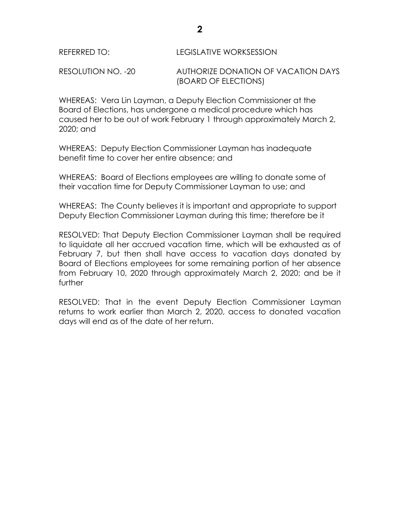RESOLUTION NO. -20 AUTHORIZE DONATION OF VACATION DAYS (BOARD OF ELECTIONS)

WHEREAS: Vera Lin Layman, a Deputy Election Commissioner at the Board of Elections, has undergone a medical procedure which has caused her to be out of work February 1 through approximately March 2, 2020; and

WHEREAS: Deputy Election Commissioner Layman has inadequate benefit time to cover her entire absence; and

WHEREAS: Board of Elections employees are willing to donate some of their vacation time for Deputy Commissioner Layman to use; and

WHEREAS: The County believes it is important and appropriate to support Deputy Election Commissioner Layman during this time; therefore be it

RESOLVED: That Deputy Election Commissioner Layman shall be required to liquidate all her accrued vacation time, which will be exhausted as of February 7, but then shall have access to vacation days donated by Board of Elections employees for some remaining portion of her absence from February 10, 2020 through approximately March 2, 2020; and be it further

RESOLVED: That in the event Deputy Election Commissioner Layman returns to work earlier than March 2, 2020, access to donated vacation days will end as of the date of her return.